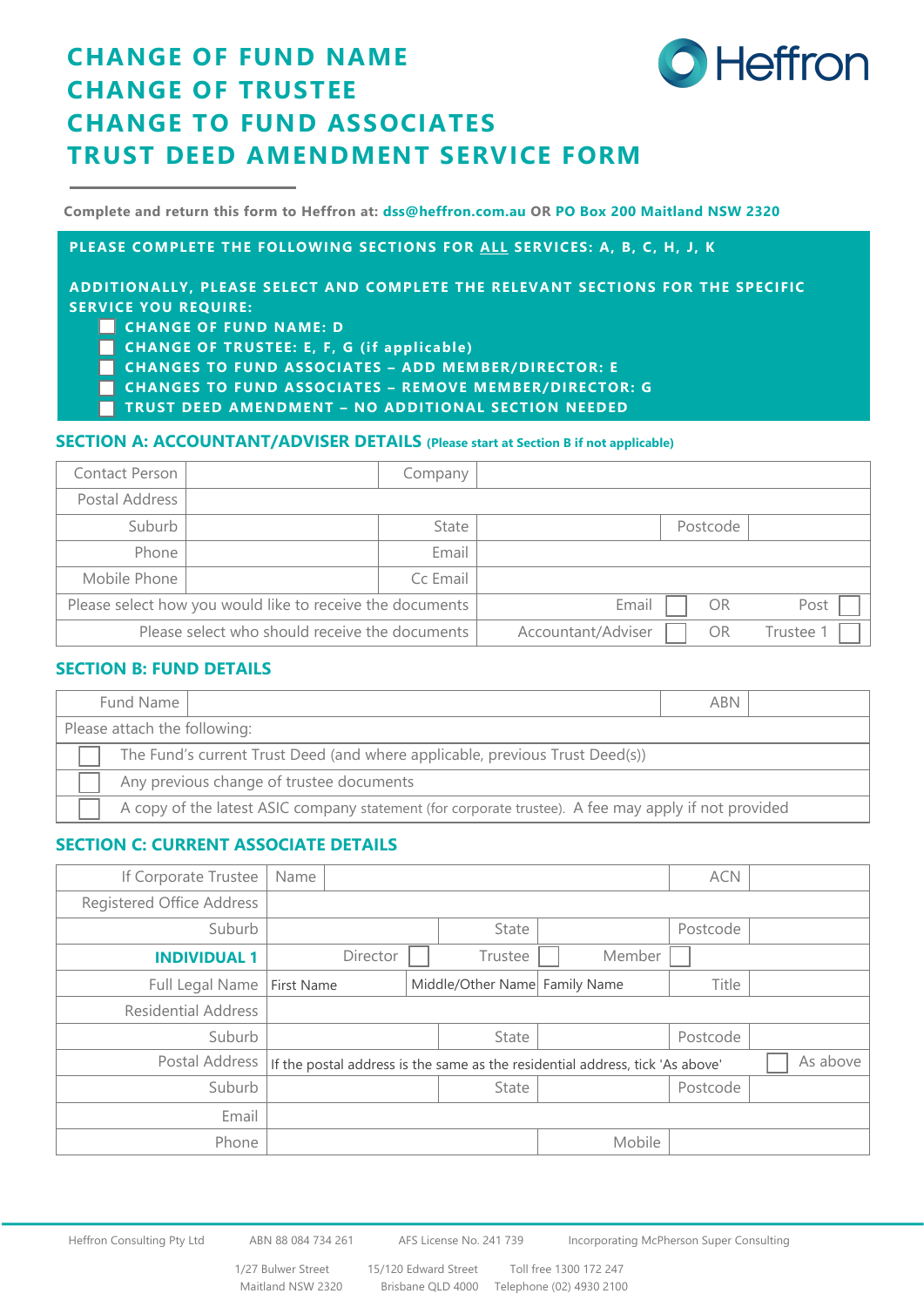# **CHANGE OF FUND NAME CHANGE OF TRUSTEE CHANGE TO FUND ASSOCIATES TRUST DEED AMENDMENT SERVICE FORM**

**Complete and return this form to Heffron at: dss@heffron.com.au OR PO Box 200 Maitland NSW 2320**

**PLEASE COMPLETE THE FOLLOWING SECTIONS FOR ALL SERVICES: A, B, C, H, J, K**

**ADDITIONALLY, PLEASE SELECT AND COMPLETE THE RELEVANT SECTIONS FOR THE SPECIFIC SERVICE YOU REQUIRE:** 

- **CHANGE OF FUND NAME: D**
- **CHANGE OF TRUSTEE: E, F, G (if applicable)**
- **CHANGES TO FUND ASSOCIATES ADD MEMBER/DIRECTOR: E**
- **CHANGES TO FUND ASSOCIATES REMOVE MEMBER/DIRECTOR: G**
- **TRUST DEED AMENDMENT – NO ADDITIONAL SECTION NEEDED**

### **SECTION A: ACCOUNTANT/ADVISER DETAILS (Please start at Section B if not applicable)**

| Contact Person                                 |                                                           | Company  |                    |          |         |
|------------------------------------------------|-----------------------------------------------------------|----------|--------------------|----------|---------|
| Postal Address                                 |                                                           |          |                    |          |         |
| Suburb                                         |                                                           | State    |                    | Postcode |         |
| Phone                                          |                                                           | Email    |                    |          |         |
| Mobile Phone                                   |                                                           | Cc Email |                    |          |         |
|                                                | Please select how you would like to receive the documents |          | Email              | OR       | Post    |
| Please select who should receive the documents |                                                           |          | Accountant/Adviser | OR       | Trustee |

#### **SECTION B: FUND DETAILS**

| Fund Name                                                                    | <b>ABN</b>                                                                                           |  |  |  |  |  |  |
|------------------------------------------------------------------------------|------------------------------------------------------------------------------------------------------|--|--|--|--|--|--|
| Please attach the following:                                                 |                                                                                                      |  |  |  |  |  |  |
| The Fund's current Trust Deed (and where applicable, previous Trust Deed(s)) |                                                                                                      |  |  |  |  |  |  |
| Any previous change of trustee documents                                     |                                                                                                      |  |  |  |  |  |  |
|                                                                              | A copy of the latest ASIC company statement (for corporate trustee). A fee may apply if not provided |  |  |  |  |  |  |

### **SECTION C: CURRENT ASSOCIATE DETAILS**

| If Corporate Trustee       | Name              |          |                               |                                                                               | <b>ACN</b> |          |
|----------------------------|-------------------|----------|-------------------------------|-------------------------------------------------------------------------------|------------|----------|
| Registered Office Address  |                   |          |                               |                                                                               |            |          |
| Suburb                     |                   |          | State                         |                                                                               | Postcode   |          |
| <b>INDIVIDUAL 1</b>        |                   | Director | Trustee                       | Member                                                                        |            |          |
| Full Legal Name            | <b>First Name</b> |          | Middle/Other Name Family Name |                                                                               | Title      |          |
| <b>Residential Address</b> |                   |          |                               |                                                                               |            |          |
| Suburb                     |                   |          | State                         |                                                                               | Postcode   |          |
| Postal Address             |                   |          |                               | If the postal address is the same as the residential address, tick 'As above' |            | As above |
| Suburb                     |                   |          | State                         |                                                                               | Postcode   |          |
| Email                      |                   |          |                               |                                                                               |            |          |
| Phone                      |                   |          |                               | Mobile                                                                        |            |          |

**Heffron**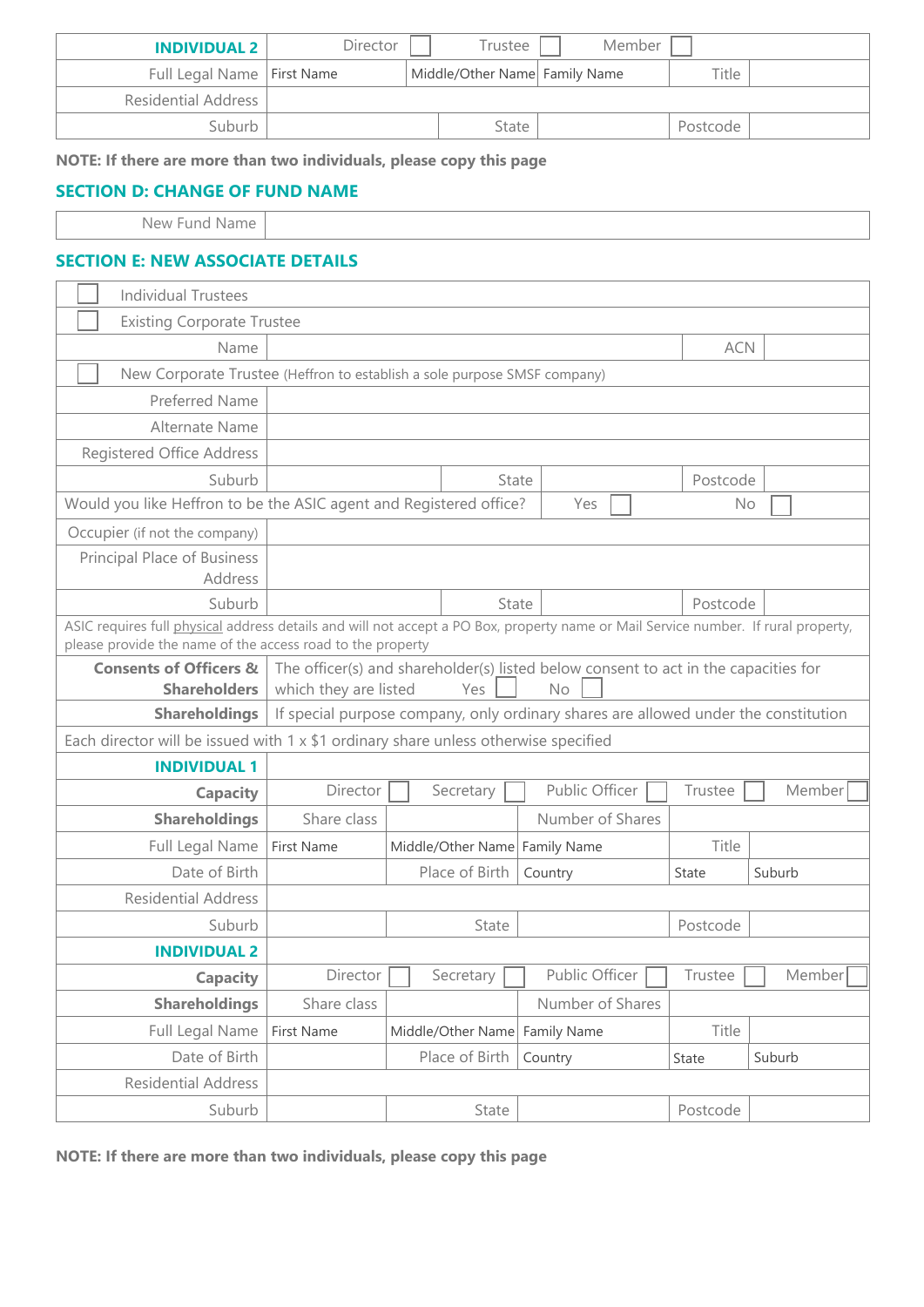| <b>INDIVIDUAL 2</b>          | Director | Trustee                       | Member |          |  |
|------------------------------|----------|-------------------------------|--------|----------|--|
| Full Legal Name   First Name |          | Middle/Other Name Family Name |        | Title    |  |
| Residential Address          |          |                               |        |          |  |
| Suburb                       |          | State                         |        | Postcode |  |

**NOTE: If there are more than two individuals, please copy this page**

### **SECTION D: CHANGE OF FUND NAME**

New Fund Name

### **SECTION E: NEW ASSOCIATE DETAILS**

|                                                                                                                                                                                                  | <b>Individual Trustees</b>                                                                |                                                                                     |  |                                    |           |                  |              |        |
|--------------------------------------------------------------------------------------------------------------------------------------------------------------------------------------------------|-------------------------------------------------------------------------------------------|-------------------------------------------------------------------------------------|--|------------------------------------|-----------|------------------|--------------|--------|
|                                                                                                                                                                                                  | <b>Existing Corporate Trustee</b>                                                         |                                                                                     |  |                                    |           |                  |              |        |
|                                                                                                                                                                                                  | Name                                                                                      |                                                                                     |  |                                    |           |                  | <b>ACN</b>   |        |
|                                                                                                                                                                                                  | New Corporate Trustee (Heffron to establish a sole purpose SMSF company)                  |                                                                                     |  |                                    |           |                  |              |        |
|                                                                                                                                                                                                  | Preferred Name                                                                            |                                                                                     |  |                                    |           |                  |              |        |
|                                                                                                                                                                                                  | Alternate Name                                                                            |                                                                                     |  |                                    |           |                  |              |        |
|                                                                                                                                                                                                  | Registered Office Address                                                                 |                                                                                     |  |                                    |           |                  |              |        |
|                                                                                                                                                                                                  | Suburb                                                                                    |                                                                                     |  | State                              |           |                  | Postcode     |        |
|                                                                                                                                                                                                  | Would you like Heffron to be the ASIC agent and Registered office?                        |                                                                                     |  |                                    |           | Yes              | No           |        |
|                                                                                                                                                                                                  | Occupier (if not the company)                                                             |                                                                                     |  |                                    |           |                  |              |        |
|                                                                                                                                                                                                  | Principal Place of Business                                                               |                                                                                     |  |                                    |           |                  |              |        |
|                                                                                                                                                                                                  | Address                                                                                   |                                                                                     |  |                                    |           |                  |              |        |
|                                                                                                                                                                                                  | Suburb                                                                                    |                                                                                     |  | State                              |           |                  | Postcode     |        |
| ASIC requires full physical address details and will not accept a PO Box, property name or Mail Service number. If rural property,<br>please provide the name of the access road to the property |                                                                                           |                                                                                     |  |                                    |           |                  |              |        |
|                                                                                                                                                                                                  | <b>Consents of Officers &amp;</b>                                                         | The officer(s) and shareholder(s) listed below consent to act in the capacities for |  |                                    |           |                  |              |        |
|                                                                                                                                                                                                  | <b>Shareholders</b>                                                                       | which they are listed                                                               |  | Yes                                | <b>No</b> |                  |              |        |
|                                                                                                                                                                                                  | <b>Shareholdings</b>                                                                      | If special purpose company, only ordinary shares are allowed under the constitution |  |                                    |           |                  |              |        |
|                                                                                                                                                                                                  | Each director will be issued with $1 \times $1$ ordinary share unless otherwise specified |                                                                                     |  |                                    |           |                  |              |        |
|                                                                                                                                                                                                  | <b>INDIVIDUAL 1</b>                                                                       |                                                                                     |  |                                    |           |                  |              |        |
|                                                                                                                                                                                                  | <b>Capacity</b>                                                                           | Director                                                                            |  | Secretary                          |           | Public Officer   | Trustee      | Member |
|                                                                                                                                                                                                  | <b>Shareholdings</b>                                                                      | Share class                                                                         |  |                                    |           | Number of Shares |              |        |
|                                                                                                                                                                                                  | Full Legal Name                                                                           | First Name                                                                          |  | Middle/Other Name Family Name      |           |                  | Title        |        |
|                                                                                                                                                                                                  | Date of Birth                                                                             |                                                                                     |  | Place of Birth                     | Country   |                  | <b>State</b> | Suburb |
|                                                                                                                                                                                                  | <b>Residential Address</b>                                                                |                                                                                     |  |                                    |           |                  |              |        |
|                                                                                                                                                                                                  | Suburb                                                                                    |                                                                                     |  | State                              |           |                  | Postcode     |        |
|                                                                                                                                                                                                  | <b>INDIVIDUAL 2</b>                                                                       |                                                                                     |  |                                    |           |                  |              |        |
|                                                                                                                                                                                                  | <b>Capacity</b>                                                                           | Director                                                                            |  | $S$ ecretary $\boxed{\phantom{a}}$ |           | Public Officer   | Trustee      | Member |
|                                                                                                                                                                                                  | <b>Shareholdings</b>                                                                      | Share class                                                                         |  |                                    |           | Number of Shares |              |        |
|                                                                                                                                                                                                  | Full Legal Name                                                                           | First Name                                                                          |  | Middle/Other Name Family Name      |           |                  | Title        |        |
|                                                                                                                                                                                                  | Date of Birth                                                                             |                                                                                     |  | Place of Birth                     | Country   |                  | State        | Suburb |
|                                                                                                                                                                                                  | <b>Residential Address</b>                                                                |                                                                                     |  |                                    |           |                  |              |        |
|                                                                                                                                                                                                  | Suburb                                                                                    |                                                                                     |  | State                              |           |                  | Postcode     |        |

**NOTE: If there are more than two individuals, please copy this page**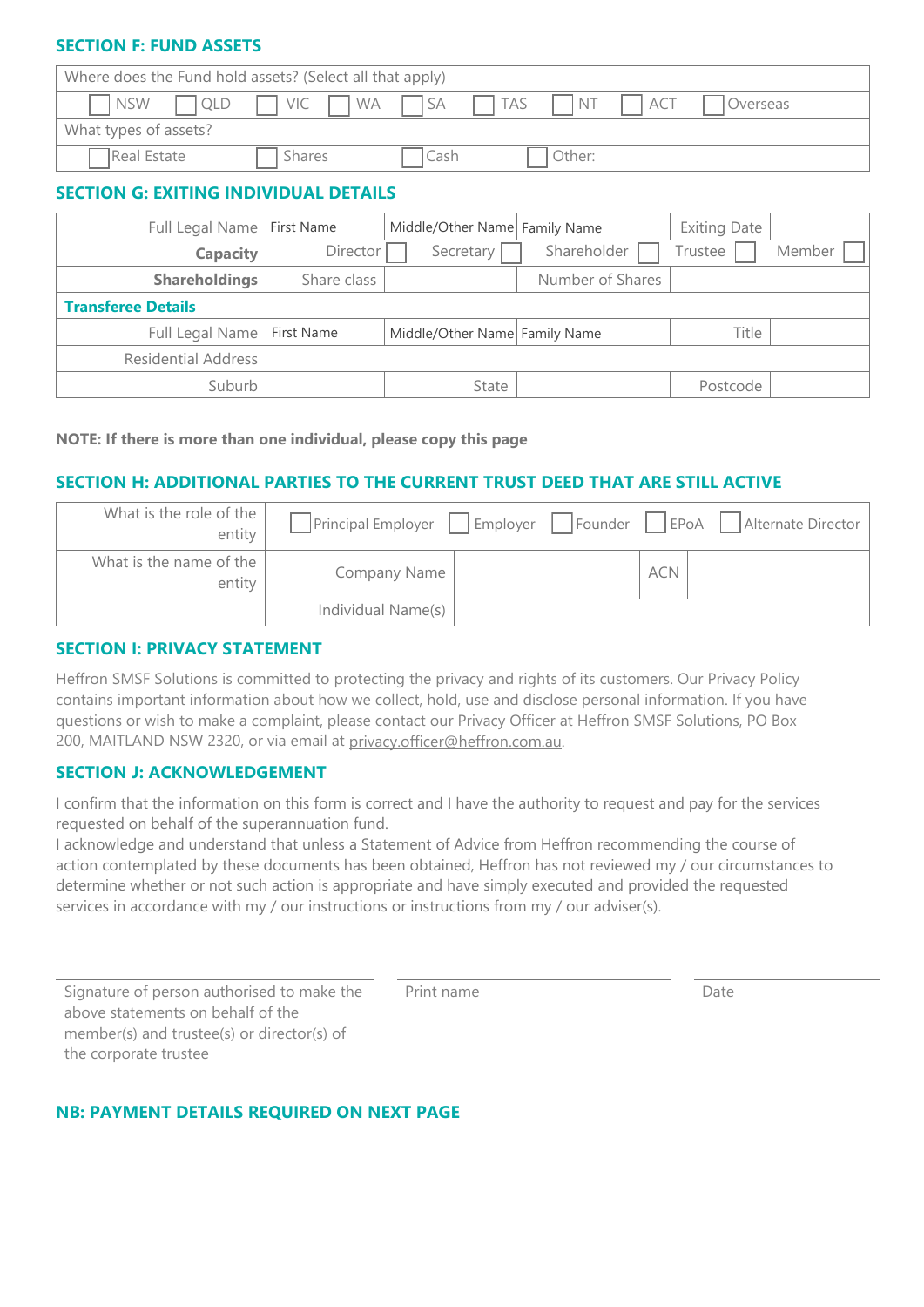### **SECTION F: FUND ASSETS**

| Where does the Fund hold assets? (Select all that apply) |               |      |            |                                |       |          |  |
|----------------------------------------------------------|---------------|------|------------|--------------------------------|-------|----------|--|
| T NSW<br><b>QLD</b>                                      | $VIC$ $W_A$   | I SA | $\Box$ TAS | $^{\circ}$ INT I $\rightarrow$ | I ACT | Overseas |  |
| What types of assets?                                    |               |      |            |                                |       |          |  |
| Real Estate                                              | <b>Shares</b> | cash |            | Other:                         |       |          |  |

# **SECTION G: EXITING INDIVIDUAL DETAILS**

| Full Legal Name            | First Name  | Middle/Other Name Family Name |                  | <b>Exiting Date</b> |        |
|----------------------------|-------------|-------------------------------|------------------|---------------------|--------|
| <b>Capacity</b>            | Director    | Secretary                     | Shareholder      | Trustee             | Member |
| <b>Shareholdings</b>       | Share class |                               | Number of Shares |                     |        |
| <b>Transferee Details</b>  |             |                               |                  |                     |        |
| Full Legal Name            | First Name  | Middle/Other Name Family Name |                  | Title               |        |
| <b>Residential Address</b> |             |                               |                  |                     |        |
| Suburb                     |             | State                         |                  | Postcode            |        |

#### **NOTE: If there is more than one individual, please copy this page**

### **SECTION H: ADDITIONAL PARTIES TO THE CURRENT TRUST DEED THAT ARE STILL ACTIVE**

| What is the role of the I<br>entity |                    | Principal Employer   Employer   Founder |            | EPoA  <br>Alternate Director |
|-------------------------------------|--------------------|-----------------------------------------|------------|------------------------------|
| What is the name of the<br>entity   | Company Name       |                                         | <b>ACN</b> |                              |
|                                     | Individual Name(s) |                                         |            |                              |

### **SECTION I: PRIVACY STATEMENT**

Heffron SMSF Solutions is committed to protecting the privacy and rights of its customers. Our [Privacy Policy](https://www.heffron.com.au/privacy) contains important information about how we collect, hold, use and disclose personal information. If you have questions or wish to make a complaint, please contact our Privacy Officer at Heffron SMSF Solutions, PO Box 200, MAITLAND NSW 2320, or via email at [privacy.officer@heffron.com.au.](mailto:privacy.officer@heffron.com.au)

### **SECTION J: ACKNOWLEDGEMENT**

I confirm that the information on this form is correct and I have the authority to request and pay for the services requested on behalf of the superannuation fund.

I acknowledge and understand that unless a Statement of Advice from Heffron recommending the course of action contemplated by these documents has been obtained, Heffron has not reviewed my / our circumstances to determine whether or not such action is appropriate and have simply executed and provided the requested services in accordance with my / our instructions or instructions from my / our adviser(s).

Signature of person authorised to make the above statements on behalf of the member(s) and trustee(s) or director(s) of the corporate trustee

Print name Date

### **NB: PAYMENT DETAILS REQUIRED ON NEXT PAGE**